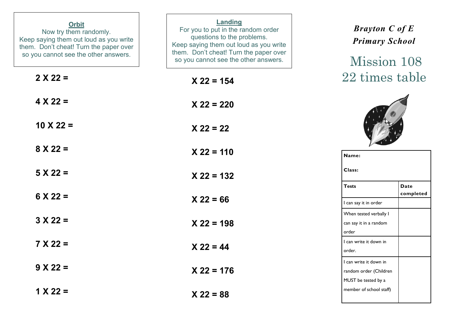| <b>Orbit</b><br>Now try them randomly.<br>Keep saying them out loud as you write<br>them. Don't cheat! Turn the paper over<br>so you cannot see the other answers. | Landing<br>For you to put in the random order<br>questions to the problems.<br>Keep saying them out loud as you write<br>them. Don't cheat! Turn the paper over<br>so you cannot see the other answers. | <b>Brayton C of E</b><br><b>Primary School</b><br>Mission 108           |
|--------------------------------------------------------------------------------------------------------------------------------------------------------------------|---------------------------------------------------------------------------------------------------------------------------------------------------------------------------------------------------------|-------------------------------------------------------------------------|
| $2 X 22 =$                                                                                                                                                         | $X$ 22 = 154                                                                                                                                                                                            | 22 times table                                                          |
| $4 X 22 =$                                                                                                                                                         | $X$ 22 = 220                                                                                                                                                                                            |                                                                         |
| $10 \times 22 =$                                                                                                                                                   | $X 22 = 22$                                                                                                                                                                                             |                                                                         |
| $8 X 22 =$                                                                                                                                                         | $X$ 22 = 110                                                                                                                                                                                            | Name:                                                                   |
| $5 X 22 =$                                                                                                                                                         | $X$ 22 = 132                                                                                                                                                                                            | Class:                                                                  |
| $6 \times 22 =$                                                                                                                                                    | $X 22 = 66$                                                                                                                                                                                             | <b>Tests</b><br><b>Date</b><br>completed<br>I can say it in order       |
| $3 X 22 =$                                                                                                                                                         | $X$ 22 = 198                                                                                                                                                                                            | When tested verbally I<br>can say it in a random<br>order               |
| $7 X 22 =$                                                                                                                                                         | $X 22 = 44$                                                                                                                                                                                             | I can write it down in<br>order.                                        |
| $9 X 22 =$                                                                                                                                                         | $X$ 22 = 176                                                                                                                                                                                            | I can write it down in<br>random order (Children<br>MUST be tested by a |
| $1 X 22 =$                                                                                                                                                         | $X 22 = 88$                                                                                                                                                                                             | member of school staff)                                                 |